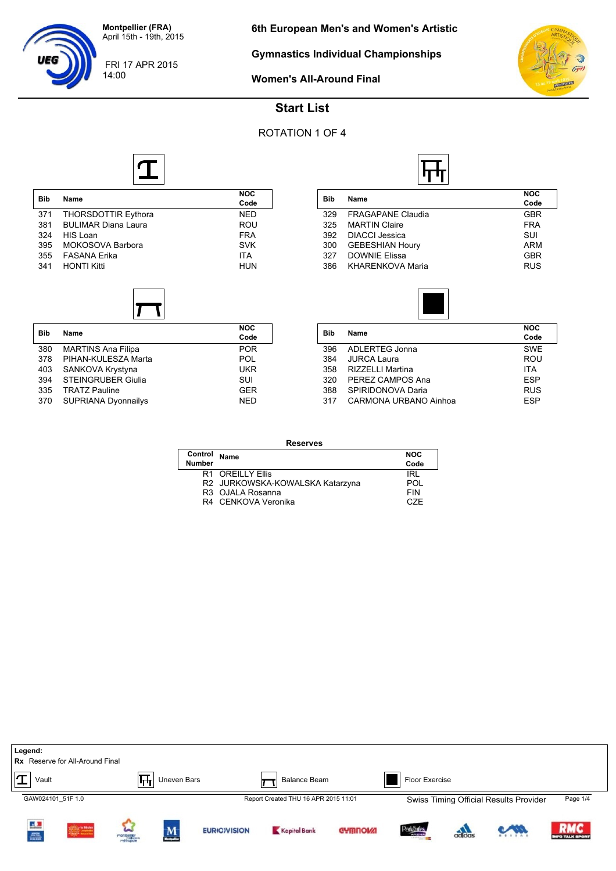**Gymnastics Individual Championships**



#### **Women's All-Around Final**

# **Start List**

## ROTATION 1 OF 4



| <b>Bib</b> | Name                       | <b>NOC</b><br>Code |
|------------|----------------------------|--------------------|
| 371        | <b>THORSDOTTIR Eythora</b> | <b>NED</b>         |
| 381        | <b>BULIMAR Diana Laura</b> | ROU                |
| 324        | HIS Loan                   | <b>FRA</b>         |
| 395        | MOKOSOVA Barbora           | <b>SVK</b>         |
| 355        | <b>FASANA Frika</b>        | <b>ITA</b>         |
| 341        | <b>HONTI Kitti</b>         | <b>HUN</b>         |
|            |                            |                    |

| <b>Bib</b> | Name                       | <b>NOC</b> |  |  |
|------------|----------------------------|------------|--|--|
|            |                            | Code       |  |  |
| 380        | <b>MARTINS Ana Filipa</b>  | <b>POR</b> |  |  |
| 378        | PIHAN-KULESZA Marta        | <b>POL</b> |  |  |
| 403        | SANKOVA Krystyna           | <b>UKR</b> |  |  |
| 394        | <b>STEINGRUBER Giulia</b>  | SUI        |  |  |
| 335        | <b>TRATZ Pauline</b>       | <b>GER</b> |  |  |
| 370        | <b>SUPRIANA Dyonnailys</b> | <b>NED</b> |  |  |

| Bib | Name                     | <b>NOC</b> |
|-----|--------------------------|------------|
|     |                          | Code       |
| 329 | <b>FRAGAPANE Claudia</b> | <b>GBR</b> |
| 325 | <b>MARTIN Claire</b>     | <b>FRA</b> |
| 392 | <b>DIACCI Jessica</b>    | SUI        |
| 300 | <b>GEBESHIAN Houry</b>   | <b>ARM</b> |
| 327 | <b>DOWNIE Elissa</b>     | <b>GBR</b> |
| 386 | <b>KHARENKOVA Maria</b>  | <b>RUS</b> |



| <b>Bib</b> | Name                  | <b>NOC</b><br>Code |
|------------|-----------------------|--------------------|
| 396        | ADLERTEG Jonna        | <b>SWE</b>         |
| 384        | <b>JURCA Laura</b>    | ROU                |
| 358        | RIZZELLI Martina      | <b>ITA</b>         |
| 320        | PEREZ CAMPOS Ana      | <b>FSP</b>         |
| 388        | SPIRIDONOVA Daria     | <b>RUS</b>         |
| 317        | CARMONA URBANO Ainhoa | <b>FSP</b>         |
|            |                       |                    |

| <b>Reserves</b> |                                 |            |  |  |
|-----------------|---------------------------------|------------|--|--|
| Control         | <b>Name</b>                     | <b>NOC</b> |  |  |
| <b>Number</b>   |                                 | Code       |  |  |
|                 | R1 OREILLY Ellis                | IRL        |  |  |
|                 | R2 JURKOWSKA-KOWALSKA Katarzyna | POL        |  |  |
|                 | R3 OJALA Rosanna                | FIN        |  |  |
|                 | R4 CENKOVA Veronika             | C.ZE       |  |  |

| Legend:           | <b>Rx</b> Reserve for All-Around Final |                          |                          |                     |                                      |                |                                |        |                                        |                                     |
|-------------------|----------------------------------------|--------------------------|--------------------------|---------------------|--------------------------------------|----------------|--------------------------------|--------|----------------------------------------|-------------------------------------|
| Vault             |                                        | फ़्त                     | Uneven Bars              |                     | <b>Balance Beam</b>                  |                | Floor Exercise                 |        |                                        |                                     |
| GAW024101 51F 1.0 |                                        |                          |                          |                     | Report Created THU 16 APR 2015 11:01 |                |                                |        | Swiss Timing Official Results Provider | Page 1/4                            |
| Ц.<br>AND 1       |                                        | montpetter<br>montpetter | $\underline{\mathbf{M}}$ | <b>EURIO)VISION</b> | Kapital Bank                         | <b>GYMNOW!</b> | ParkSules<br><b>ATRAMASSIS</b> | adidas | <b>CAN</b>                             | <b>RMC</b><br><b>IFO TALK SPORT</b> |

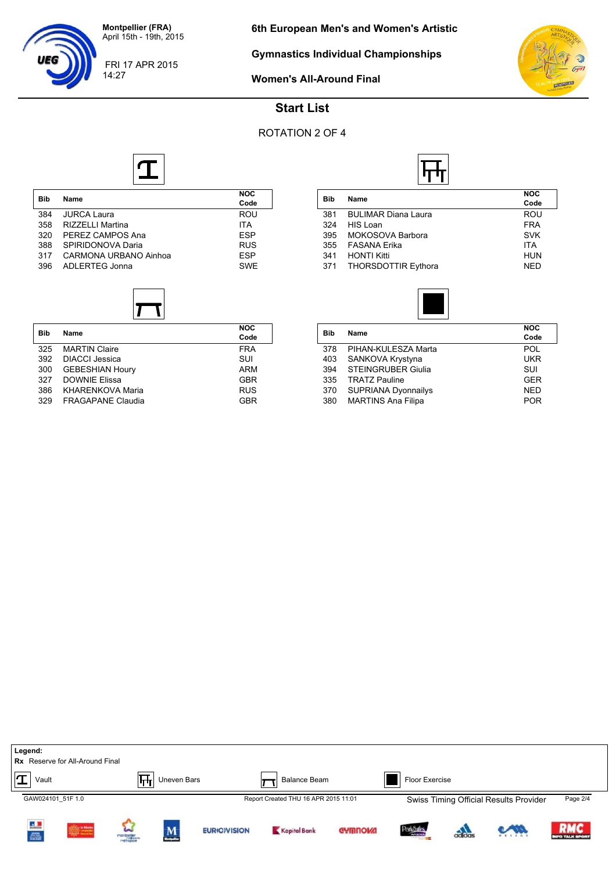FRI 17 APR 2015

**Gymnastics Individual Championships**



**Women's All-Around Final**



## **Start List**

## ROTATION 2 OF 4



| <b>Bib</b> | <b>Name</b>             | <b>NOC</b><br>Code |
|------------|-------------------------|--------------------|
| 384        | <b>JURCA Laura</b>      | <b>ROU</b>         |
| 358        | <b>RIZZELLI Martina</b> | <b>ITA</b>         |
| 320        | PEREZ CAMPOS Ana        | <b>ESP</b>         |
| 388        | SPIRIDONOVA Daria       | <b>RUS</b>         |
| 317        | CARMONA URBANO Ainhoa   | <b>FSP</b>         |
| 396        | ADLERTEG Jonna          | <b>SWE</b>         |
|            |                         |                    |

| <b>Bib</b> | Name                     | <b>NOC</b> |
|------------|--------------------------|------------|
|            |                          | Code       |
| 325        | <b>MARTIN Claire</b>     | <b>FRA</b> |
| 392        | DIACCI Jessica           | SUI        |
| 300        | <b>GEBESHIAN Houry</b>   | ARM        |
| 327        | <b>DOWNIE Elissa</b>     | <b>GBR</b> |
| 386        | <b>KHARENKOVA Maria</b>  | <b>RUS</b> |
| 329        | <b>FRAGAPANE Claudia</b> | GBR        |

| <b>Bib</b> | Name                       | <b>NOC</b><br>Code |  |  |  |
|------------|----------------------------|--------------------|--|--|--|
| 381        | <b>BULIMAR Diana Laura</b> | ROU                |  |  |  |
| 324        | HIS Loan                   | <b>FRA</b>         |  |  |  |
| 395        | MOKOSOVA Barbora           | <b>SVK</b>         |  |  |  |
| 355        | <b>FASANA Erika</b>        | <b>ITA</b>         |  |  |  |
| 341        | <b>HONTI Kitti</b>         | <b>HUN</b>         |  |  |  |
| 371        | <b>THORSDOTTIR Eythora</b> | <b>NED</b>         |  |  |  |

IF<del>I.</del>



| Bib | Name                       | <b>NOC</b><br>Code |
|-----|----------------------------|--------------------|
| 378 | PIHAN-KULESZA Marta        | <b>POL</b>         |
| 403 | SANKOVA Krystyna           | UKR                |
| 394 | <b>STEINGRUBER Giulia</b>  | SUI                |
| 335 | <b>TRATZ Pauline</b>       | <b>GER</b>         |
| 370 | <b>SUPRIANA Dyonnailys</b> | <b>NED</b>         |
| 380 | <b>MARTINS Ana Filipa</b>  | <b>POR</b>         |
|     |                            |                    |

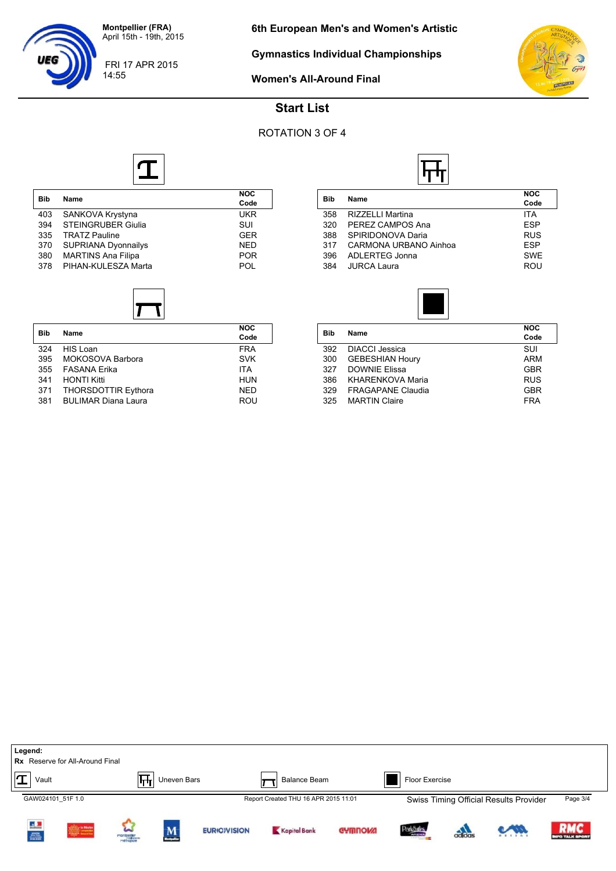FRI 17 APR 2015

14:55

**Gymnastics Individual Championships**



**Women's All-Around Final**



## **Start List**

#### ROTATION 3 OF 4

 $\overline{\phantom{0}}$ 



|            | Name                       | NOC        |  |  |
|------------|----------------------------|------------|--|--|
| <b>Bib</b> |                            | Code       |  |  |
| 403        | SANKOVA Krystyna           | <b>UKR</b> |  |  |
| 394        | <b>STEINGRUBER Giulia</b>  | SUI        |  |  |
| 335        | <b>TRATZ Pauline</b>       | <b>GER</b> |  |  |
| 370        | <b>SUPRIANA Dyonnailys</b> | <b>NED</b> |  |  |
| 380        | <b>MARTINS Ana Filipa</b>  | <b>POR</b> |  |  |
| 378        | PIHAN-KULESZA Marta        | POL        |  |  |
|            |                            |            |  |  |



| <b>Bib</b> | Name                       | <b>NOC</b><br>Code |
|------------|----------------------------|--------------------|
| 324        | HIS Loan                   | <b>FRA</b>         |
| 395        | MOKOSOVA Barbora           | <b>SVK</b>         |
| 355        | <b>FASANA Erika</b>        | <b>ITA</b>         |
| 341        | <b>HONTI Kitti</b>         | <b>HUN</b>         |
| 371        | <b>THORSDOTTIR Eythora</b> | <b>NED</b>         |
| 381        | <b>BULIMAR Diana Laura</b> | ROU                |

| Bib |                       | <b>NOC</b> |
|-----|-----------------------|------------|
|     | Name                  | Code       |
| 358 | RIZZELLI Martina      | <b>ITA</b> |
| 320 | PEREZ CAMPOS Ana      | <b>ESP</b> |
| 388 | SPIRIDONOVA Daria     | <b>RUS</b> |
| 317 | CARMONA URBANO Ainhoa | <b>ESP</b> |
| 396 | <b>ADLERTEG Jonna</b> | <b>SWE</b> |
| 384 | <b>JURCA Laura</b>    | ROU        |
|     |                       |            |



| Bib | <b>Name</b>              | <b>NOC</b><br>Code |
|-----|--------------------------|--------------------|
| 392 | <b>DIACCI Jessica</b>    | SUI                |
| 300 | <b>GEBESHIAN Houry</b>   | ARM                |
| 327 | <b>DOWNIE Elissa</b>     | <b>GBR</b>         |
| 386 | <b>KHARENKOVA Maria</b>  | <b>RUS</b>         |
| 329 | <b>FRAGAPANE Claudia</b> | <b>GBR</b>         |
| 325 | <b>MARTIN Claire</b>     | <b>FRA</b>         |
|     |                          |                    |